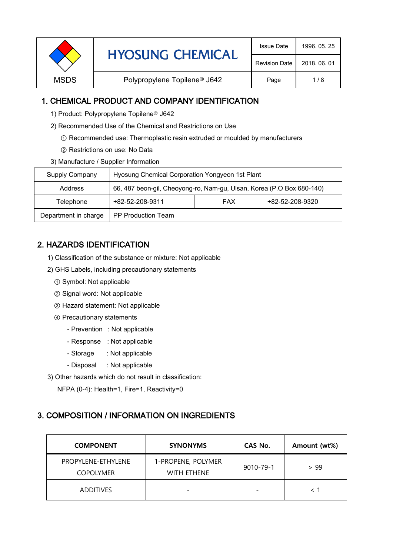| <b>HYOSUNG CHEMICAL</b> | <b>Issue Date</b>                        | 1996, 05, 25         |              |
|-------------------------|------------------------------------------|----------------------|--------------|
|                         |                                          | <b>Revision Date</b> | 2018, 06, 01 |
| <b>MSDS</b>             | Polypropylene Topilene <sup>®</sup> J642 | Page                 | 1/8          |

### 1. CHEMICAL PRODUCT AND COMPANY IDENTIFICATION

- 1) Product: Polypropylene Topilene<sup>®</sup> J642
- 2) Recommended Use of the Chemical and Restrictions on Use
	- ① Recommended use: Thermoplastic resin extruded or moulded by manufacturers
	- ② Restrictions on use: No Data
- 3) Manufacture / Supplier Information

| Supply Company       | Hyosung Chemical Corporation Yongyeon 1st Plant                       |  |  |  |
|----------------------|-----------------------------------------------------------------------|--|--|--|
| <b>Address</b>       | 66, 487 beon-gil, Cheoyong-ro, Nam-gu, Ulsan, Korea (P.O Box 680-140) |  |  |  |
| Telephone            | +82-52-208-9320<br>+82-52-208-9311<br><b>FAX</b>                      |  |  |  |
| Department in charge | PP Production Team                                                    |  |  |  |

# 2. HAZARDS IDENTIFICATION

- 1) Classification of the substance or mixture: Not applicable
- 2) GHS Labels, including precautionary statements
	- ① Symbol: Not applicable
	- ② Signal word: Not applicable
	- ③ Hazard statement: Not applicable
	- ④ Precautionary statements
		- Prevention : Not applicable
		- Response : Not applicable
		- Storage : Not applicable
		- Disposal : Not applicable
- 3) Other hazards which do not result in classification:

NFPA (0-4): Health=1, Fire=1, Reactivity=0

# 3. COMPOSITION / INFORMATION ON INGREDIENTS

| <b>COMPONENT</b>                       | <b>SYNONYMS</b>                          | CAS No.                  | Amount (wt%) |
|----------------------------------------|------------------------------------------|--------------------------|--------------|
| PROPYLENE-ETHYLENE<br><b>COPOLYMER</b> | 1-PROPENE, POLYMER<br><b>WITH ETHENE</b> | 9010-79-1                | > 99         |
| <b>ADDITIVES</b>                       | -                                        | $\overline{\phantom{a}}$ |              |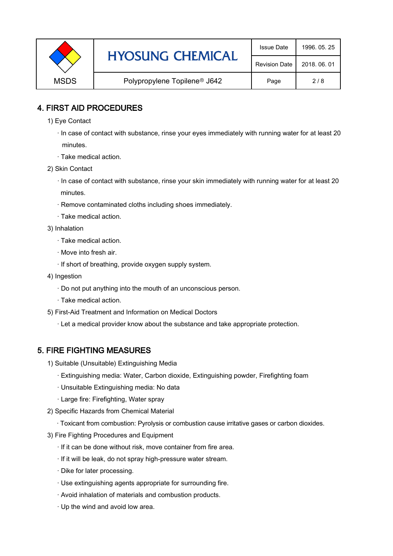|             | <b>HYOSUNG CHEMICAL</b>                  | <b>Issue Date</b>    | 1996, 05, 25 |
|-------------|------------------------------------------|----------------------|--------------|
|             |                                          | <b>Revision Date</b> | 2018, 06, 01 |
| <b>MSDS</b> | Polypropylene Topilene <sup>®</sup> J642 | Page                 | 2/8          |

### 4. FIRST AID PROCEDURES

- 1) Eye Contact
	- · In case of contact with substance, rinse your eyes immediately with running water for at least 20 minutes.
	- · Take medical action.
- 2) Skin Contact
	- · In case of contact with substance, rinse your skin immediately with running water for at least 20 minutes.
	- · Remove contaminated cloths including shoes immediately.
	- · Take medical action.
- 3) Inhalation
	- · Take medical action.
	- · Move into fresh air.
	- · If short of breathing, provide oxygen supply system.
- 4) Ingestion
	- · Do not put anything into the mouth of an unconscious person.
	- · Take medical action.
- 5) First-Aid Treatment and Information on Medical Doctors
	- · Let a medical provider know about the substance and take appropriate protection.

## 5. FIRE FIGHTING MEASURES

- 1) Suitable (Unsuitable) Extinguishing Media
	- · Extinguishing media: Water, Carbon dioxide, Extinguishing powder, Firefighting foam
	- · Unsuitable Extinguishing media: No data
	- · Large fire: Firefighting, Water spray
- 2) Specific Hazards from Chemical Material
	- · Toxicant from combustion: Pyrolysis or combustion cause irritative gases or carbon dioxides.
- 3) Fire Fighting Procedures and Equipment
	- · If it can be done without risk, move container from fire area.
	- · If it will be leak, do not spray high-pressure water stream.
	- · Dike for later processing.
	- · Use extinguishing agents appropriate for surrounding fire.
	- · Avoid inhalation of materials and combustion products.
	- · Up the wind and avoid low area.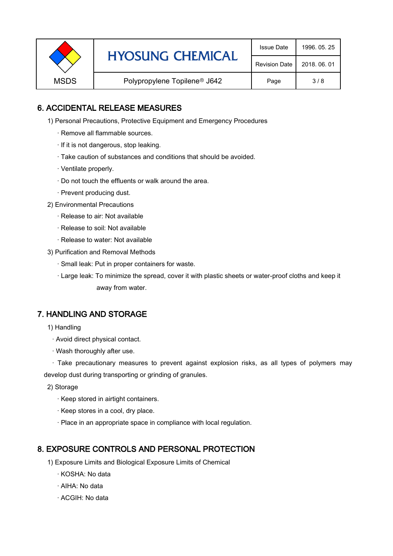|             | <b>HYOSUNG CHEMICAL</b>                  | <b>Issue Date</b>    | 1996, 05, 25 |
|-------------|------------------------------------------|----------------------|--------------|
|             |                                          | <b>Revision Date</b> | 2018, 06, 01 |
| <b>MSDS</b> | Polypropylene Topilene <sup>®</sup> J642 | Page                 | 3/8          |

### 6. ACCIDENTAL RELEASE MEASURES

- 1) Personal Precautions, Protective Equipment and Emergency Procedures
	- · Remove all flammable sources.
	- · If it is not dangerous, stop leaking.
	- · Take caution of substances and conditions that should be avoided.
	- · Ventilate properly.
	- · Do not touch the effluents or walk around the area.
	- · Prevent producing dust.
- 2) Environmental Precautions
	- · Release to air: Not available
	- · Release to soil: Not available
	- · Release to water: Not available
- 3) Purification and Removal Methods
	- · Small leak: Put in proper containers for waste.
	- ,· Large leak: To minimize the spread, cover it with plastic sheets or water-proof cloths and keep it away from water.

### 7. HANDLING AND STORAGE

- 1) Handling
	- · Avoid direct physical contact.
	- · Wash thoroughly after use.

· Take precautionary measures to prevent against explosion risks, as all types of polymers may develop dust during transporting or grinding of granules.

- 2) Storage
	- · Keep stored in airtight containers.
	- · Keep stores in a cool, dry place.
	- · Place in an appropriate space in compliance with local regulation.

### 8. EXPOSURE CONTROLS AND PERSONAL PROTECTION

- 1) Exposure Limits and Biological Exposure Limits of Chemical
	- · KOSHA: No data
	- · AIHA: No data
	- · ACGIH: No data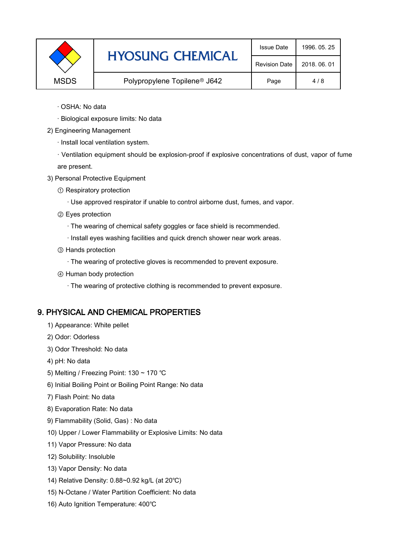|             | <b>HYOSUNG CHEMICAL</b>                  | <b>Issue Date</b>    | 1996, 05, 25 |
|-------------|------------------------------------------|----------------------|--------------|
|             |                                          | <b>Revision Date</b> | 2018, 06, 01 |
| <b>MSDS</b> | Polypropylene Topilene <sup>®</sup> J642 | Page                 | 4/8          |

- · OSHA: No data
- · Biological exposure limits: No data
- 2) Engineering Management
	- · Install local ventilation system.

· Ventilation equipment should be explosion-proof if explosive concentrations of dust, vapor of fume are present.

- 3) Personal Protective Equipment
	- ① Respiratory protection
		- · Use approved respirator if unable to control airborne dust, fumes, and vapor.
	- ② Eyes protection
		- · The wearing of chemical safety goggles or face shield is recommended.
		- · Install eyes washing facilities and quick drench shower near work areas.
	- ③ Hands protection
		- · The wearing of protective gloves is recommended to prevent exposure.
	- ④ Human body protection
		- · The wearing of protective clothing is recommended to prevent exposure.

#### 9. PHYSICAL AND CHEMICAL PROPERTIES

- 1) Appearance: White pellet
- 2) Odor: Odorless
- 3) Odor Threshold: No data
- 4) pH: No data
- 5) Melting / Freezing Point: 130 ~ 170 ℃
- 6) Initial Boiling Point or Boiling Point Range: No data
- 7) Flash Point: No data
- 8) Evaporation Rate: No data
- 9) Flammability (Solid, Gas) : No data
- 10) Upper / Lower Flammability or Explosive Limits: No data
- 11) Vapor Pressure: No data
- 12) Solubility: Insoluble
- 13) Vapor Density: No data
- 14) Relative Density: 0.88~0.92 kg/L (at 20℃)
- 15) N-Octane / Water Partition Coefficient: No data
- 16) Auto Ignition Temperature: 400℃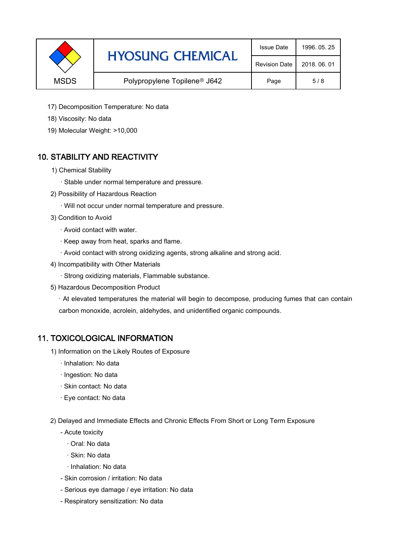|             | <b>HYOSUNG CHEMICAL</b>                  | <b>Issue Date</b>    | 1996, 05, 25 |
|-------------|------------------------------------------|----------------------|--------------|
|             |                                          | <b>Revision Date</b> | 2018, 06, 01 |
| <b>MSDS</b> | Polypropylene Topilene <sup>®</sup> J642 | Page                 | 5/8          |

- 17) Decomposition Temperature: No data
- 18) Viscosity: No data
- 19) Molecular Weight: >10,000

# 10. STABILITY AND REACTIVITY

- 1) Chemical Stability
	- · Stable under normal temperature and pressure.
- 2) Possibility of Hazardous Reaction
	- · Will not occur under normal temperature and pressure.
- 3) Condition to Avoid
	- · Avoid contact with water.
	- · Keep away from heat, sparks and flame.
	- · Avoid contact with strong oxidizing agents, strong alkaline and strong acid.
- 4) Incompatibility with Other Materials
	- · Strong oxidizing materials, Flammable substance.
- 5) Hazardous Decomposition Product

· At elevated temperatures the material will begin to decompose, producing fumes that can contain carbon monoxide, acrolein, aldehydes, and unidentified organic compounds.

### 11. TOXICOLOGICAL INFORMATION

- 1) Information on the Likely Routes of Exposure
	- · Inhalation: No data
	- · Ingestion: No data
	- · Skin contact: No data
	- · Eye contact: No data
- 2) Delayed and Immediate Effects and Chronic Effects From Short or Long Term Exposure
	- Acute toxicity
		- · Oral: No data
		- · Skin: No data
		- · Inhalation: No data
	- Skin corrosion / irritation: No data
	- Serious eye damage / eye irritation: No data
	- Respiratory sensitization: No data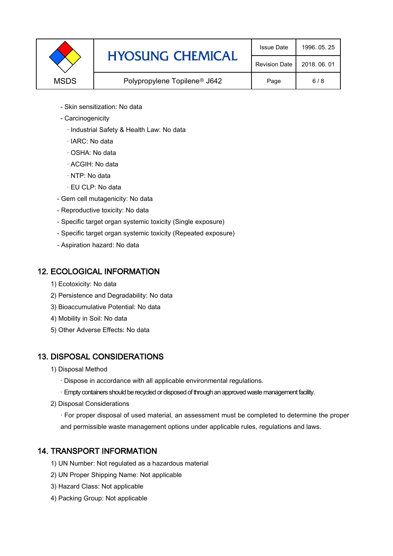|             | <b>HYOSUNG CHEMICAL</b>                  | <b>Issue Date</b>    | 1996, 05, 25 |
|-------------|------------------------------------------|----------------------|--------------|
|             |                                          | <b>Revision Date</b> | 2018, 06, 01 |
| <b>MSDS</b> | Polypropylene Topilene <sup>®</sup> J642 | Page                 | 6/8          |

- Skin sensitization: No data
- Carcinogenicity
	- · Industrial Safety & Health Law: No data
	- · IARC: No data
	- · OSHA: No data
	- · ACGIH: No data
	- · NTP: No data
	- · EU CLP: No data
- Gem cell mutagenicity: No data
- Reproductive toxicity: No data
- Specific target organ systemic toxicity (Single exposure)
- Specific target organ systemic toxicity (Repeated exposure)
- Aspiration hazard: No data

### 12. ECOLOGICAL INFORMATION

- 1) Ecotoxicity: No data
- 2) Persistence and Degradability: No data
- 3) Bioaccumulative Potential: No data
- 4) Mobility in Soil: No data
- 5) Other Adverse Effects: No data

## 13. DISPOSAL CONSIDERATIONS

- 1) Disposal Method
	- · Dispose in accordance with all applicable environmental regulations.
	- · Empty containers should be recycled or disposed of through an approved waste management facility.
- 2) Disposal Considerations
	- · For proper disposal of used material, an assessment must be completed to determine the proper and permissible waste management options under applicable rules, regulations and laws.

## 14. TRANSPORT INFORMATION

- 1) UN Number: Not regulated as a hazardous material
- 2) UN Proper Shipping Name: Not applicable
- 3) Hazard Class: Not applicable
- 4) Packing Group: Not applicable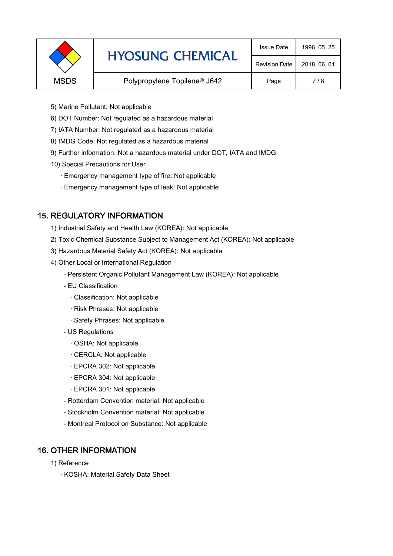|             | <b>HYOSUNG CHEMICAL</b>                  | <b>Issue Date</b>    | 1996, 05, 25 |
|-------------|------------------------------------------|----------------------|--------------|
|             |                                          | <b>Revision Date</b> | 2018, 06, 01 |
| <b>MSDS</b> | Polypropylene Topilene <sup>®</sup> J642 | Page                 | 7/8          |
|             |                                          |                      |              |

- 5) Marine Pollutant: Not applicable
- 6) DOT Number: Not regulated as a hazardous material
- 7) IATA Number: Not regulated as a hazardous material
- 8) IMDG Code: Not regulated as a hazardous material
- 9) Further information: Not a hazardous material under DOT, IATA and IMDG
- 10) Special Precautions for User
	- · Emergency management type of fire: Not applicable
	- · Emergency management type of leak: Not applicable

## 15. REGULATORY INFORMATION

- 1) Industrial Safety and Health Law (KOREA): Not applicable
- 2) Toxic Chemical Substance Subject to Management Act (KOREA): Not applicable
- 3) Hazardous Material Safety Act (KOREA): Not applicable
- 4) Other Local or International Regulation
	- Persistent Organic Pollutant Management Law (KOREA): Not applicable
	- EU Classification
		- · Classification: Not applicable
		- · Risk Phrases: Not applicable
		- · Safety Phrases: Not applicable
	- US Regulations
		- · OSHA: Not applicable
		- · CERCLA: Not applicable
		- · EPCRA 302: Not applicable
		- · EPCRA 304: Not applicable
		- · EPCRA 301: Not applicable
	- Rotterdam Convention material: Not applicable
	- Stockholm Convention material: Not applicable
	- Montreal Protocol on Substance: Not applicable

## 16. OTHER INFORMATION

- 1) Reference
	- · KOSHA: Material Safety Data Sheet